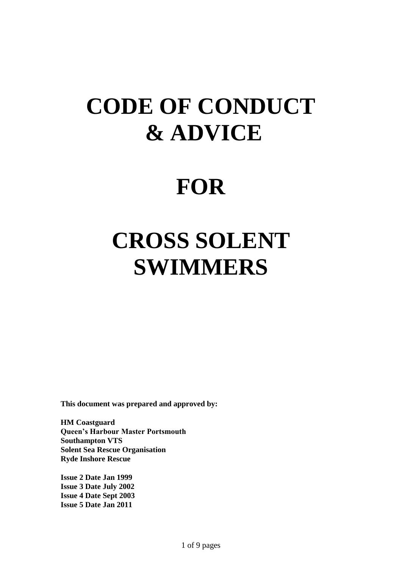# **CODE OF CONDUCT & ADVICE**

### **FOR**

# **CROSS SOLENT SWIMMERS**

**This document was prepared and approved by:**

**HM Coastguard Queen's Harbour Master Portsmouth Southampton VTS Solent Sea Rescue Organisation Ryde Inshore Rescue**

**Issue 2 Date Jan 1999 Issue 3 Date July 2002 Issue 4 Date Sept 2003 Issue 5 Date Jan 2011**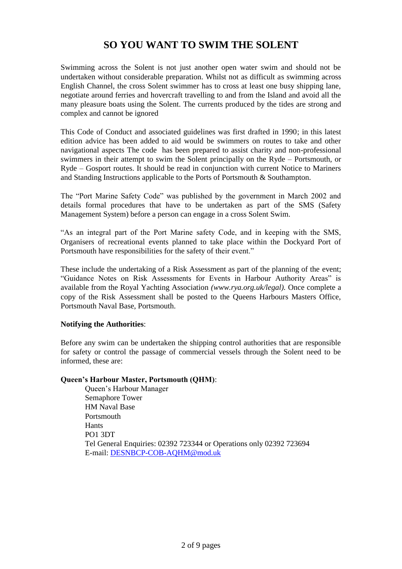### **SO YOU WANT TO SWIM THE SOLENT**

Swimming across the Solent is not just another open water swim and should not be undertaken without considerable preparation. Whilst not as difficult as swimming across English Channel, the cross Solent swimmer has to cross at least one busy shipping lane, negotiate around ferries and hovercraft travelling to and from the Island and avoid all the many pleasure boats using the Solent. The currents produced by the tides are strong and complex and cannot be ignored

This Code of Conduct and associated guidelines was first drafted in 1990; in this latest edition advice has been added to aid would be swimmers on routes to take and other navigational aspects The code has been prepared to assist charity and non-professional swimmers in their attempt to swim the Solent principally on the Ryde – Portsmouth, or Ryde – Gosport routes. It should be read in conjunction with current Notice to Mariners and Standing Instructions applicable to the Ports of Portsmouth & Southampton.

The "Port Marine Safety Code" was published by the government in March 2002 and details formal procedures that have to be undertaken as part of the SMS (Safety Management System) before a person can engage in a cross Solent Swim.

"As an integral part of the Port Marine safety Code, and in keeping with the SMS, Organisers of recreational events planned to take place within the Dockyard Port of Portsmouth have responsibilities for the safety of their event."

These include the undertaking of a Risk Assessment as part of the planning of the event; "Guidance Notes on Risk Assessments for Events in Harbour Authority Areas" is available from the Royal Yachting Association *(www.rya.org.uk/legal).* Once complete a copy of the Risk Assessment shall be posted to the Queens Harbours Masters Office, Portsmouth Naval Base, Portsmouth.

#### **Notifying the Authorities**:

Before any swim can be undertaken the shipping control authorities that are responsible for safety or control the passage of commercial vessels through the Solent need to be informed, these are:

#### **Queen's Harbour Master, Portsmouth (QHM)**:

Queen"s Harbour Manager Semaphore Tower HM Naval Base Portsmouth Hants PO1 3DT Tel General Enquiries: 02392 723344 or Operations only 02392 723694 E-mail: [DESNBCP-COB-AQHM@mod.uk](mailto:DESNBCP-COB-AQHM@mod.uk)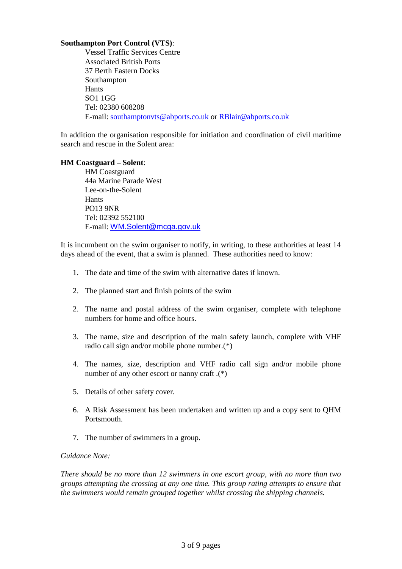#### **Southampton Port Control (VTS)**:

Vessel Traffic Services Centre Associated British Ports 37 Berth Eastern Docks Southampton Hants SO1 1GG Tel: 02380 608208 E-mail: [southamptonvts@abports.co.uk](mailto:southamptonvts@abports.co.uk) or [RBlair@abports.co.uk](mailto:RBlair@abports.co.uk)

In addition the organisation responsible for initiation and coordination of civil maritime search and rescue in the Solent area:

#### **HM Coastguard – Solent**:

HM Coastguard 44a Marine Parade West Lee-on-the-Solent Hants PO13 9NR Tel: 02392 552100 E-mail: [WM.Solent@mcga.gov.uk](mailto:WM.Solent@mcga.gov.uk)

It is incumbent on the swim organiser to notify, in writing, to these authorities at least 14 days ahead of the event, that a swim is planned. These authorities need to know:

- 1. The date and time of the swim with alternative dates if known.
- 2. The planned start and finish points of the swim
- 2. The name and postal address of the swim organiser, complete with telephone numbers for home and office hours.
- 3. The name, size and description of the main safety launch, complete with VHF radio call sign and/or mobile phone number.(\*)
- 4. The names, size, description and VHF radio call sign and/or mobile phone number of any other escort or nanny craft .(\*)
- 5. Details of other safety cover.
- 6. A Risk Assessment has been undertaken and written up and a copy sent to QHM **Portsmouth**
- 7. The number of swimmers in a group.

#### *Guidance Note:*

*There should be no more than 12 swimmers in one escort group, with no more than two groups attempting the crossing at any one time. This group rating attempts to ensure that the swimmers would remain grouped together whilst crossing the shipping channels.*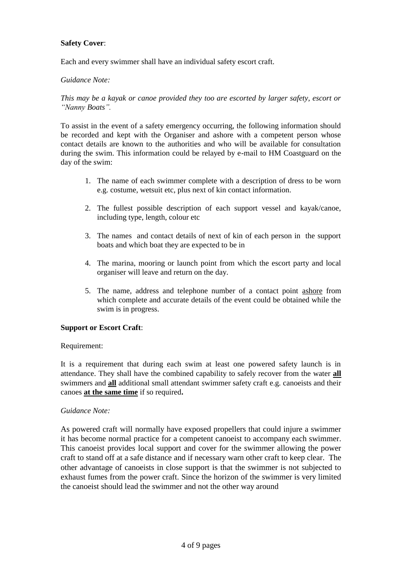#### **Safety Cover**:

Each and every swimmer shall have an individual safety escort craft.

#### *Guidance Note:*

*This may be a kayak or canoe provided they too are escorted by larger safety, escort or "Nanny Boats".* 

To assist in the event of a safety emergency occurring, the following information should be recorded and kept with the Organiser and ashore with a competent person whose contact details are known to the authorities and who will be available for consultation during the swim. This information could be relayed by e-mail to HM Coastguard on the day of the swim:

- 1. The name of each swimmer complete with a description of dress to be worn e.g. costume, wetsuit etc, plus next of kin contact information.
- 2. The fullest possible description of each support vessel and kayak/canoe, including type, length, colour etc
- 3. The names and contact details of next of kin of each person in the support boats and which boat they are expected to be in
- 4. The marina, mooring or launch point from which the escort party and local organiser will leave and return on the day.
- 5. The name, address and telephone number of a contact point ashore from which complete and accurate details of the event could be obtained while the swim is in progress.

#### **Support or Escort Craft**:

Requirement:

It is a requirement that during each swim at least one powered safety launch is in attendance. They shall have the combined capability to safely recover from the water **all** swimmers and **all** additional small attendant swimmer safety craft e.g. canoeists and their canoes **at the same time** if so required**.**

#### *Guidance Note:*

As powered craft will normally have exposed propellers that could injure a swimmer it has become normal practice for a competent canoeist to accompany each swimmer. This canoeist provides local support and cover for the swimmer allowing the power craft to stand off at a safe distance and if necessary warn other craft to keep clear. The other advantage of canoeists in close support is that the swimmer is not subjected to exhaust fumes from the power craft. Since the horizon of the swimmer is very limited the canoeist should lead the swimmer and not the other way around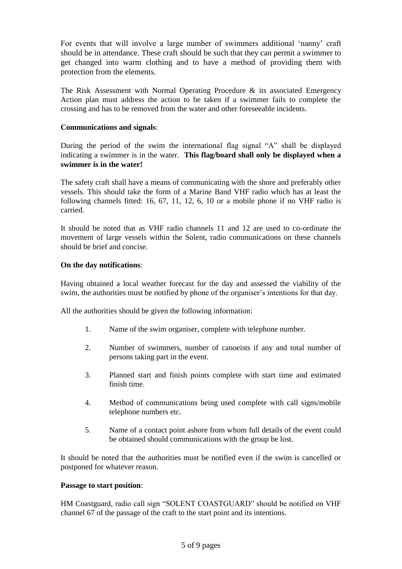For events that will involve a large number of swimmers additional "nanny" craft should be in attendance. These craft should be such that they can permit a swimmer to get changed into warm clothing and to have a method of providing them with protection from the elements.

The Risk Assessment with Normal Operating Procedure & its associated Emergency Action plan must address the action to be taken if a swimmer fails to complete the crossing and has to be removed from the water and other foreseeable incidents.

#### **Communications and signals**:

During the period of the swim the international flag signal "A" shall be displayed indicating a swimmer is in the water. **This flag/board shall only be displayed when a swimmer is in the water!**

The safety craft shall have a means of communicating with the shore and preferably other vessels. This should take the form of a Marine Band VHF radio which has at least the following channels fitted: 16, 67, 11, 12, 6, 10 or a mobile phone if no VHF radio is carried.

It should be noted that as VHF radio channels 11 and 12 are used to co-ordinate the movement of large vessels within the Solent, radio communications on these channels should be brief and concise.

#### **On the day notifications**:

Having obtained a local weather forecast for the day and assessed the viability of the swim, the authorities must be notified by phone of the organiser's intentions for that day.

All the authorities should be given the following information:

- 1. Name of the swim organiser, complete with telephone number.
- 2. Number of swimmers, number of canoeists if any and total number of persons taking part in the event.
- 3. Planned start and finish points complete with start time and estimated finish time.
- 4. Method of communications being used complete with call signs/mobile telephone numbers etc.
- 5. Name of a contact point ashore from whom full details of the event could be obtained should communications with the group be lost.

It should be noted that the authorities must be notified even if the swim is cancelled or postponed for whatever reason.

#### **Passage to start position**:

HM Coastguard, radio call sign "SOLENT COASTGUARD" should be notified on VHF channel 67 of the passage of the craft to the start point and its intentions.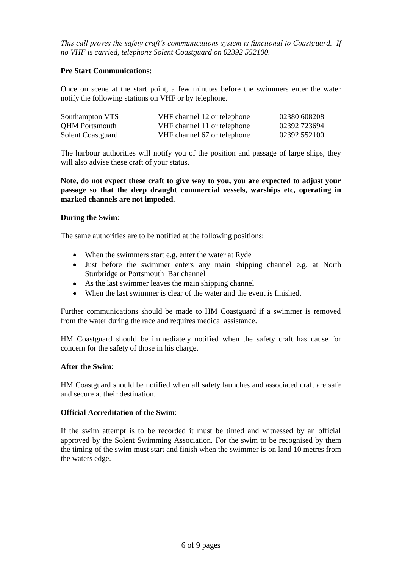*This call proves the safety craft's communications system is functional to Coastguard. If no VHF is carried, telephone Solent Coastguard on 02392 552100.*

#### **Pre Start Communications**:

Once on scene at the start point, a few minutes before the swimmers enter the water notify the following stations on VHF or by telephone.

| Southampton VTS       | VHF channel 12 or telephone | 02380 608208 |
|-----------------------|-----------------------------|--------------|
| <b>QHM</b> Portsmouth | VHF channel 11 or telephone | 02392 723694 |
| Solent Coastguard     | VHF channel 67 or telephone | 02392 552100 |

The harbour authorities will notify you of the position and passage of large ships, they will also advise these craft of your status.

**Note, do not expect these craft to give way to you, you are expected to adjust your passage so that the deep draught commercial vessels, warships etc, operating in marked channels are not impeded.**

#### **During the Swim**:

The same authorities are to be notified at the following positions:

- When the swimmers start e.g. enter the water at Ryde  $\bullet$
- Just before the swimmer enters any main shipping channel e.g. at North Sturbridge or Portsmouth Bar channel
- As the last swimmer leaves the main shipping channel
- When the last swimmer is clear of the water and the event is finished.  $\bullet$

Further communications should be made to HM Coastguard if a swimmer is removed from the water during the race and requires medical assistance.

HM Coastguard should be immediately notified when the safety craft has cause for concern for the safety of those in his charge.

#### **After the Swim**:

HM Coastguard should be notified when all safety launches and associated craft are safe and secure at their destination.

#### **Official Accreditation of the Swim**:

If the swim attempt is to be recorded it must be timed and witnessed by an official approved by the Solent Swimming Association. For the swim to be recognised by them the timing of the swim must start and finish when the swimmer is on land 10 metres from the waters edge.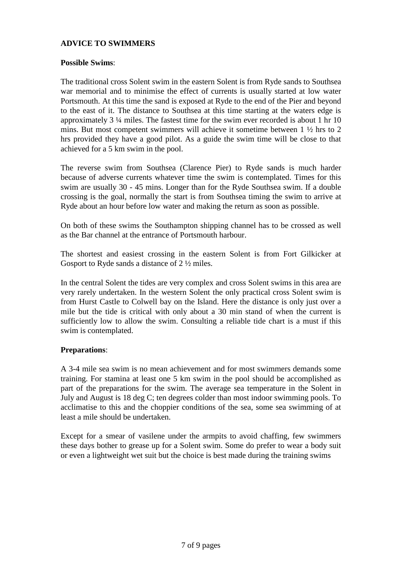#### **ADVICE TO SWIMMERS**

#### **Possible Swims**:

The traditional cross Solent swim in the eastern Solent is from Ryde sands to Southsea war memorial and to minimise the effect of currents is usually started at low water Portsmouth. At this time the sand is exposed at Ryde to the end of the Pier and beyond to the east of it. The distance to Southsea at this time starting at the waters edge is approximately 3 ¼ miles. The fastest time for the swim ever recorded is about 1 hr 10 mins. But most competent swimmers will achieve it sometime between 1 ½ hrs to 2 hrs provided they have a good pilot. As a guide the swim time will be close to that achieved for a 5 km swim in the pool.

The reverse swim from Southsea (Clarence Pier) to Ryde sands is much harder because of adverse currents whatever time the swim is contemplated. Times for this swim are usually 30 - 45 mins. Longer than for the Ryde Southsea swim. If a double crossing is the goal, normally the start is from Southsea timing the swim to arrive at Ryde about an hour before low water and making the return as soon as possible.

On both of these swims the Southampton shipping channel has to be crossed as well as the Bar channel at the entrance of Portsmouth harbour.

The shortest and easiest crossing in the eastern Solent is from Fort Gilkicker at Gosport to Ryde sands a distance of 2 ½ miles.

In the central Solent the tides are very complex and cross Solent swims in this area are very rarely undertaken. In the western Solent the only practical cross Solent swim is from Hurst Castle to Colwell bay on the Island. Here the distance is only just over a mile but the tide is critical with only about a 30 min stand of when the current is sufficiently low to allow the swim. Consulting a reliable tide chart is a must if this swim is contemplated.

#### **Preparations**:

A 3-4 mile sea swim is no mean achievement and for most swimmers demands some training. For stamina at least one 5 km swim in the pool should be accomplished as part of the preparations for the swim. The average sea temperature in the Solent in July and August is 18 deg C; ten degrees colder than most indoor swimming pools. To acclimatise to this and the choppier conditions of the sea, some sea swimming of at least a mile should be undertaken.

Except for a smear of vasilene under the armpits to avoid chaffing, few swimmers these days bother to grease up for a Solent swim. Some do prefer to wear a body suit or even a lightweight wet suit but the choice is best made during the training swims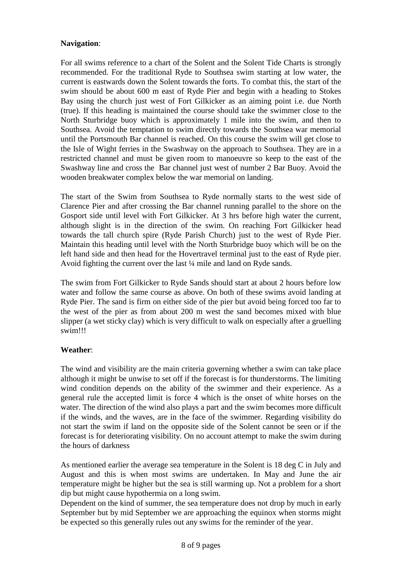#### **Navigation**:

For all swims reference to a chart of the Solent and the Solent Tide Charts is strongly recommended. For the traditional Ryde to Southsea swim starting at low water, the current is eastwards down the Solent towards the forts. To combat this, the start of the swim should be about 600 m east of Ryde Pier and begin with a heading to Stokes Bay using the church just west of Fort Gilkicker as an aiming point i.e. due North (true). If this heading is maintained the course should take the swimmer close to the North Sturbridge buoy which is approximately 1 mile into the swim, and then to Southsea. Avoid the temptation to swim directly towards the Southsea war memorial until the Portsmouth Bar channel is reached. On this course the swim will get close to the Isle of Wight ferries in the Swashway on the approach to Southsea. They are in a restricted channel and must be given room to manoeuvre so keep to the east of the Swashway line and cross the Bar channel just west of number 2 Bar Buoy. Avoid the wooden breakwater complex below the war memorial on landing.

The start of the Swim from Southsea to Ryde normally starts to the west side of Clarence Pier and after crossing the Bar channel running parallel to the shore on the Gosport side until level with Fort Gilkicker. At 3 hrs before high water the current, although slight is in the direction of the swim. On reaching Fort Gilkicker head towards the tall church spire (Ryde Parish Church) just to the west of Ryde Pier. Maintain this heading until level with the North Sturbridge buoy which will be on the left hand side and then head for the Hovertravel terminal just to the east of Ryde pier. Avoid fighting the current over the last ¼ mile and land on Ryde sands.

The swim from Fort Gilkicker to Ryde Sands should start at about 2 hours before low water and follow the same course as above. On both of these swims avoid landing at Ryde Pier. The sand is firm on either side of the pier but avoid being forced too far to the west of the pier as from about 200 m west the sand becomes mixed with blue slipper (a wet sticky clay) which is very difficult to walk on especially after a gruelling swim!!!

#### **Weather**:

The wind and visibility are the main criteria governing whether a swim can take place although it might be unwise to set off if the forecast is for thunderstorms. The limiting wind condition depends on the ability of the swimmer and their experience. As a general rule the accepted limit is force 4 which is the onset of white horses on the water. The direction of the wind also plays a part and the swim becomes more difficult if the winds, and the waves, are in the face of the swimmer. Regarding visibility do not start the swim if land on the opposite side of the Solent cannot be seen or if the forecast is for deteriorating visibility. On no account attempt to make the swim during the hours of darkness

As mentioned earlier the average sea temperature in the Solent is 18 deg C in July and August and this is when most swims are undertaken. In May and June the air temperature might be higher but the sea is still warming up. Not a problem for a short dip but might cause hypothermia on a long swim.

Dependent on the kind of summer, the sea temperature does not drop by much in early September but by mid September we are approaching the equinox when storms might be expected so this generally rules out any swims for the reminder of the year.